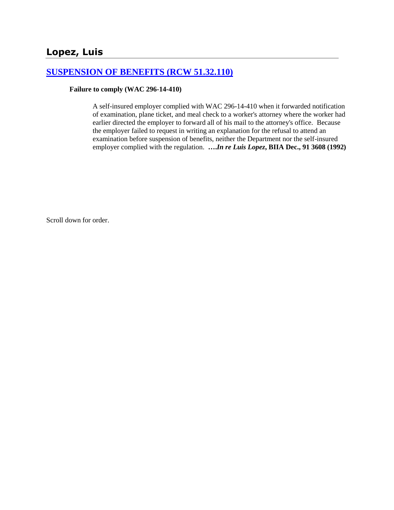# **[SUSPENSION OF BENEFITS \(RCW 51.32.110\)](http://www.biia.wa.gov/SDSubjectIndex.html#SUSPENSION_OF_BENEFITS)**

#### **Failure to comply (WAC 296-14-410)**

A self-insured employer complied with WAC 296-14-410 when it forwarded notification of examination, plane ticket, and meal check to a worker's attorney where the worker had earlier directed the employer to forward all of his mail to the attorney's office. Because the employer failed to request in writing an explanation for the refusal to attend an examination before suspension of benefits, neither the Department nor the self-insured employer complied with the regulation. **….***In re Luis Lopez***, BIIA Dec., 91 3608 (1992)**

Scroll down for order.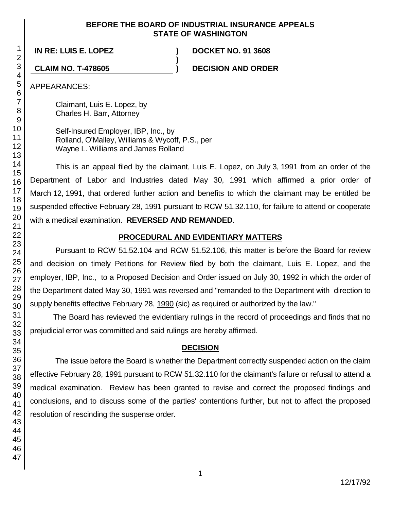### **BEFORE THE BOARD OF INDUSTRIAL INSURANCE APPEALS STATE OF WASHINGTON**

**)**

**IN RE: LUIS E. LOPEZ ) DOCKET NO. 91 3608**

**CLAIM NO. T-478605 ) DECISION AND ORDER**

APPEARANCES:

Claimant, Luis E. Lopez, by Charles H. Barr, Attorney

Self-Insured Employer, IBP, Inc., by Rolland, O'Malley, Williams & Wycoff, P.S., per Wayne L. Williams and James Rolland

This is an appeal filed by the claimant, Luis E. Lopez, on July 3, 1991 from an order of the Department of Labor and Industries dated May 30, 1991 which affirmed a prior order of March 12, 1991, that ordered further action and benefits to which the claimant may be entitled be suspended effective February 28, 1991 pursuant to RCW 51.32.110, for failure to attend or cooperate with a medical examination. **REVERSED AND REMANDED**.

# **PROCEDURAL AND EVIDENTIARY MATTERS**

Pursuant to RCW 51.52.104 and RCW 51.52.106, this matter is before the Board for review and decision on timely Petitions for Review filed by both the claimant, Luis E. Lopez, and the employer, IBP, Inc., to a Proposed Decision and Order issued on July 30, 1992 in which the order of the Department dated May 30, 1991 was reversed and "remanded to the Department with direction to supply benefits effective February 28, 1990 (sic) as required or authorized by the law."

The Board has reviewed the evidentiary rulings in the record of proceedings and finds that no prejudicial error was committed and said rulings are hereby affirmed.

# **DECISION**

The issue before the Board is whether the Department correctly suspended action on the claim effective February 28, 1991 pursuant to RCW 51.32.110 for the claimant's failure or refusal to attend a medical examination. Review has been granted to revise and correct the proposed findings and conclusions, and to discuss some of the parties' contentions further, but not to affect the proposed resolution of rescinding the suspense order.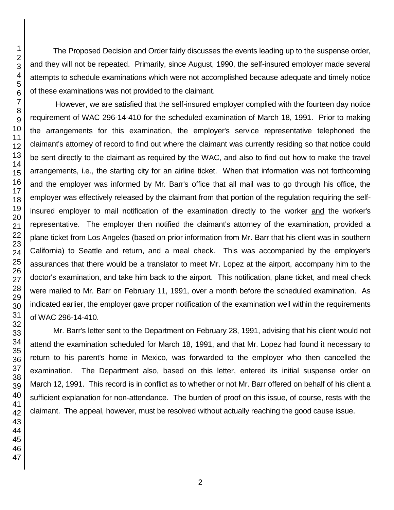The Proposed Decision and Order fairly discusses the events leading up to the suspense order, and they will not be repeated. Primarily, since August, 1990, the self-insured employer made several attempts to schedule examinations which were not accomplished because adequate and timely notice of these examinations was not provided to the claimant.

However, we are satisfied that the self-insured employer complied with the fourteen day notice requirement of WAC 296-14-410 for the scheduled examination of March 18, 1991. Prior to making the arrangements for this examination, the employer's service representative telephoned the claimant's attorney of record to find out where the claimant was currently residing so that notice could be sent directly to the claimant as required by the WAC, and also to find out how to make the travel arrangements, i.e., the starting city for an airline ticket. When that information was not forthcoming and the employer was informed by Mr. Barr's office that all mail was to go through his office, the employer was effectively released by the claimant from that portion of the regulation requiring the selfinsured employer to mail notification of the examination directly to the worker and the worker's representative. The employer then notified the claimant's attorney of the examination, provided a plane ticket from Los Angeles (based on prior information from Mr. Barr that his client was in southern California) to Seattle and return, and a meal check. This was accompanied by the employer's assurances that there would be a translator to meet Mr. Lopez at the airport, accompany him to the doctor's examination, and take him back to the airport. This notification, plane ticket, and meal check were mailed to Mr. Barr on February 11, 1991, over a month before the scheduled examination. As indicated earlier, the employer gave proper notification of the examination well within the requirements of WAC 296-14-410.

Mr. Barr's letter sent to the Department on February 28, 1991, advising that his client would not attend the examination scheduled for March 18, 1991, and that Mr. Lopez had found it necessary to return to his parent's home in Mexico, was forwarded to the employer who then cancelled the examination. The Department also, based on this letter, entered its initial suspense order on March 12, 1991. This record is in conflict as to whether or not Mr. Barr offered on behalf of his client a sufficient explanation for non-attendance. The burden of proof on this issue, of course, rests with the claimant. The appeal, however, must be resolved without actually reaching the good cause issue.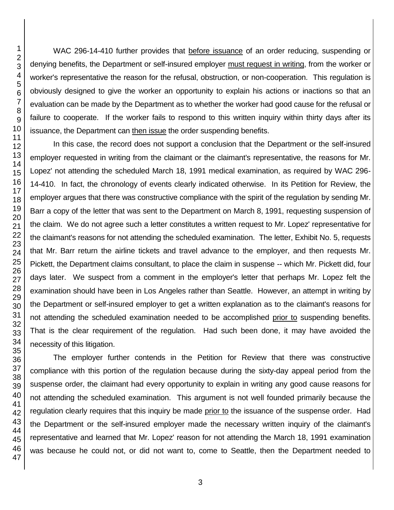WAC 296-14-410 further provides that before issuance of an order reducing, suspending or denying benefits, the Department or self-insured employer must request in writing, from the worker or worker's representative the reason for the refusal, obstruction, or non-cooperation. This regulation is obviously designed to give the worker an opportunity to explain his actions or inactions so that an evaluation can be made by the Department as to whether the worker had good cause for the refusal or failure to cooperate. If the worker fails to respond to this written inquiry within thirty days after its issuance, the Department can then issue the order suspending benefits.

In this case, the record does not support a conclusion that the Department or the self-insured employer requested in writing from the claimant or the claimant's representative, the reasons for Mr. Lopez' not attending the scheduled March 18, 1991 medical examination, as required by WAC 296- 14-410. In fact, the chronology of events clearly indicated otherwise. In its Petition for Review, the employer argues that there was constructive compliance with the spirit of the regulation by sending Mr. Barr a copy of the letter that was sent to the Department on March 8, 1991, requesting suspension of the claim. We do not agree such a letter constitutes a written request to Mr. Lopez' representative for the claimant's reasons for not attending the scheduled examination. The letter, Exhibit No. 5, requests that Mr. Barr return the airline tickets and travel advance to the employer, and then requests Mr. Pickett, the Department claims consultant, to place the claim in suspense -- which Mr. Pickett did, four days later. We suspect from a comment in the employer's letter that perhaps Mr. Lopez felt the examination should have been in Los Angeles rather than Seattle. However, an attempt in writing by the Department or self-insured employer to get a written explanation as to the claimant's reasons for not attending the scheduled examination needed to be accomplished prior to suspending benefits. That is the clear requirement of the regulation. Had such been done, it may have avoided the necessity of this litigation.

The employer further contends in the Petition for Review that there was constructive compliance with this portion of the regulation because during the sixty-day appeal period from the suspense order, the claimant had every opportunity to explain in writing any good cause reasons for not attending the scheduled examination. This argument is not well founded primarily because the regulation clearly requires that this inquiry be made prior to the issuance of the suspense order. Had the Department or the self-insured employer made the necessary written inquiry of the claimant's representative and learned that Mr. Lopez' reason for not attending the March 18, 1991 examination was because he could not, or did not want to, come to Seattle, then the Department needed to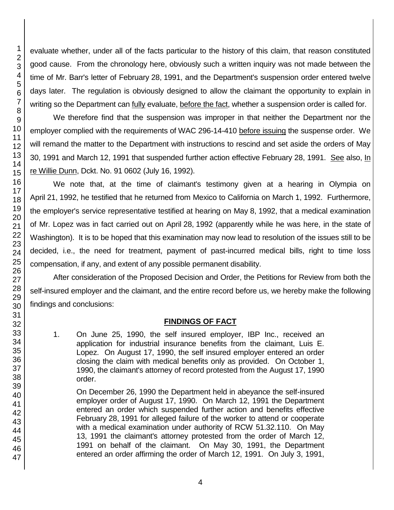evaluate whether, under all of the facts particular to the history of this claim, that reason constituted good cause. From the chronology here, obviously such a written inquiry was not made between the time of Mr. Barr's letter of February 28, 1991, and the Department's suspension order entered twelve days later. The regulation is obviously designed to allow the claimant the opportunity to explain in writing so the Department can fully evaluate, before the fact, whether a suspension order is called for.

We therefore find that the suspension was improper in that neither the Department nor the employer complied with the requirements of WAC 296-14-410 before issuing the suspense order. We will remand the matter to the Department with instructions to rescind and set aside the orders of May 30, 1991 and March 12, 1991 that suspended further action effective February 28, 1991. See also, In re Willie Dunn, Dckt. No. 91 0602 (July 16, 1992).

We note that, at the time of claimant's testimony given at a hearing in Olympia on April 21, 1992, he testified that he returned from Mexico to California on March 1, 1992. Furthermore, the employer's service representative testified at hearing on May 8, 1992, that a medical examination of Mr. Lopez was in fact carried out on April 28, 1992 (apparently while he was here, in the state of Washington). It is to be hoped that this examination may now lead to resolution of the issues still to be decided, i.e., the need for treatment, payment of past-incurred medical bills, right to time loss compensation, if any, and extent of any possible permanent disability.

After consideration of the Proposed Decision and Order, the Petitions for Review from both the self-insured employer and the claimant, and the entire record before us, we hereby make the following findings and conclusions:

# **FINDINGS OF FACT**

1. On June 25, 1990, the self insured employer, IBP Inc., received an application for industrial insurance benefits from the claimant, Luis E. Lopez. On August 17, 1990, the self insured employer entered an order closing the claim with medical benefits only as provided. On October 1, 1990, the claimant's attorney of record protested from the August 17, 1990 order.

On December 26, 1990 the Department held in abeyance the self-insured employer order of August 17, 1990. On March 12, 1991 the Department entered an order which suspended further action and benefits effective February 28, 1991 for alleged failure of the worker to attend or cooperate with a medical examination under authority of RCW 51.32.110. On May 13, 1991 the claimant's attorney protested from the order of March 12, 1991 on behalf of the claimant. On May 30, 1991, the Department entered an order affirming the order of March 12, 1991. On July 3, 1991,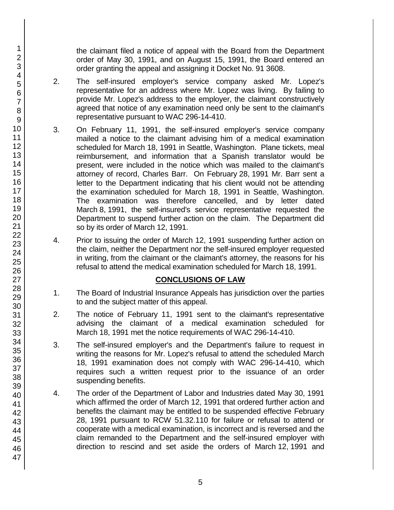the claimant filed a notice of appeal with the Board from the Department order of May 30, 1991, and on August 15, 1991, the Board entered an order granting the appeal and assigning it Docket No. 91 3608.

- 2. The self-insured employer's service company asked Mr. Lopez's representative for an address where Mr. Lopez was living. By failing to provide Mr. Lopez's address to the employer, the claimant constructively agreed that notice of any examination need only be sent to the claimant's representative pursuant to WAC 296-14-410.
- 3. On February 11, 1991, the self-insured employer's service company mailed a notice to the claimant advising him of a medical examination scheduled for March 18, 1991 in Seattle, Washington. Plane tickets, meal reimbursement, and information that a Spanish translator would be present, were included in the notice which was mailed to the claimant's attorney of record, Charles Barr. On February 28, 1991 Mr. Barr sent a letter to the Department indicating that his client would not be attending the examination scheduled for March 18, 1991 in Seattle, Washington. The examination was therefore cancelled, and by letter dated March 8, 1991, the self-insured's service representative requested the Department to suspend further action on the claim. The Department did so by its order of March 12, 1991.
- 4. Prior to issuing the order of March 12, 1991 suspending further action on the claim, neither the Department nor the self-insured employer requested in writing, from the claimant or the claimant's attorney, the reasons for his refusal to attend the medical examination scheduled for March 18, 1991.

# **CONCLUSIONS OF LAW**

- 1. The Board of Industrial Insurance Appeals has jurisdiction over the parties to and the subject matter of this appeal.
- 2. The notice of February 11, 1991 sent to the claimant's representative advising the claimant of a medical examination scheduled for March 18, 1991 met the notice requirements of WAC 296-14-410.
- 3. The self-insured employer's and the Department's failure to request in writing the reasons for Mr. Lopez's refusal to attend the scheduled March 18, 1991 examination does not comply with WAC 296-14-410, which requires such a written request prior to the issuance of an order suspending benefits.
- 4. The order of the Department of Labor and Industries dated May 30, 1991 which affirmed the order of March 12, 1991 that ordered further action and benefits the claimant may be entitled to be suspended effective February 28, 1991 pursuant to RCW 51.32.110 for failure or refusal to attend or cooperate with a medical examination, is incorrect and is reversed and the claim remanded to the Department and the self-insured employer with direction to rescind and set aside the orders of March 12, 1991 and